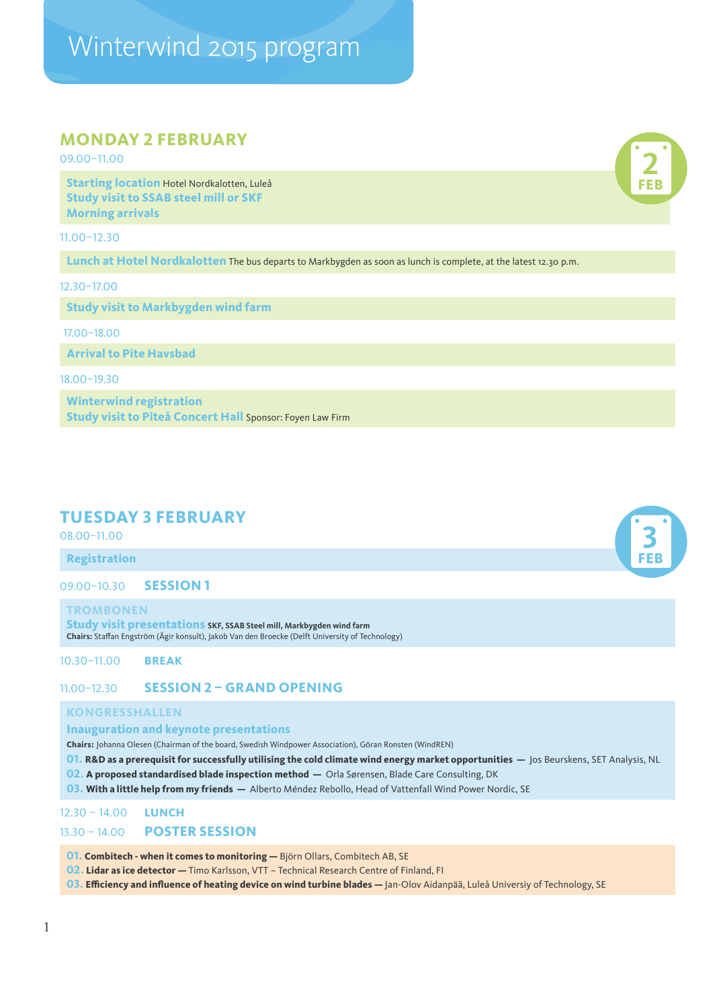# Winterwind 2015 program

# **MONDAY 2 FEBRUARY**

09.00–11.00

**Starting location** Hotel Nordkalotten, Luleå **Study visit to SSAB steel mill or SKF Morning arrivals**

11.00–12.30

**Lunch at Hotel Nordkalotten** The bus departs to Markbygden as soon as lunch is complete, at the latest 12.30 p.m.

12.30–17.00

**Study visit to Markbygden wind farm**

17.00–18.00

**Arrival to Pite Havsbad**

18.00–19.30

**Winterwind registration [Study visit to Piteå Concert Hall](https://docs.google.com/forms/d/1-FQxVGQfGzrNfwqf4nGG-kPcKFjNLfkM4bqlmy_dBow/viewform)** Sponsor: Foyen Law Firm

# **TUESDAY 3 FEBRUARY**

08.00–11.00

**Registration**

09.00–10.30 **SESSION 1**

**TROMBONEN**

**Study visit presentations SKF, SSAB Steel mill, Markbygden wind farm Chairs:** Staffan Engström (Ägir konsult), Jakob Van den Broecke (Delft University of Technology)

10.30–11.00 **BREAK**

# 11.00–12.30 **SESSION 2 – GRAND OPENING**

## **KONGRESSHALLEN**

### **Inauguration and keynote presentations**

**Chairs:** Johanna Olesen (Chairman of the board, Swedish Windpower Association), Göran Ronsten (WindREN)

**01. R&D as a prerequisit for successfully utilising the cold climate wind energy market opportunities —** Jos Beurskens, SET Analysis, NL

**02. A proposed standardised blade inspection method —** Orla Sørensen, Blade Care Consulting, DK

**03. With a little help from my friends —** Alberto Méndez Rebollo, Head of Vattenfall Wind Power Nordic, SE

## 12.30 – 14.00 **LUNCH** 13.30 – 14.00 **POSTER SESSION**

**01. Combitech - when it comes to monitoring - Björn Ollars, Combitech AB, SE** 

**02. Lidar as ice detector —** Timo Karlsson, VTT – Technical Research Centre of Finland, FI

**03. Efficiency and influence of heating device on wind turbine blades —** Jan-Olov Aidanpää, Luleå Universiy of Technology, SE



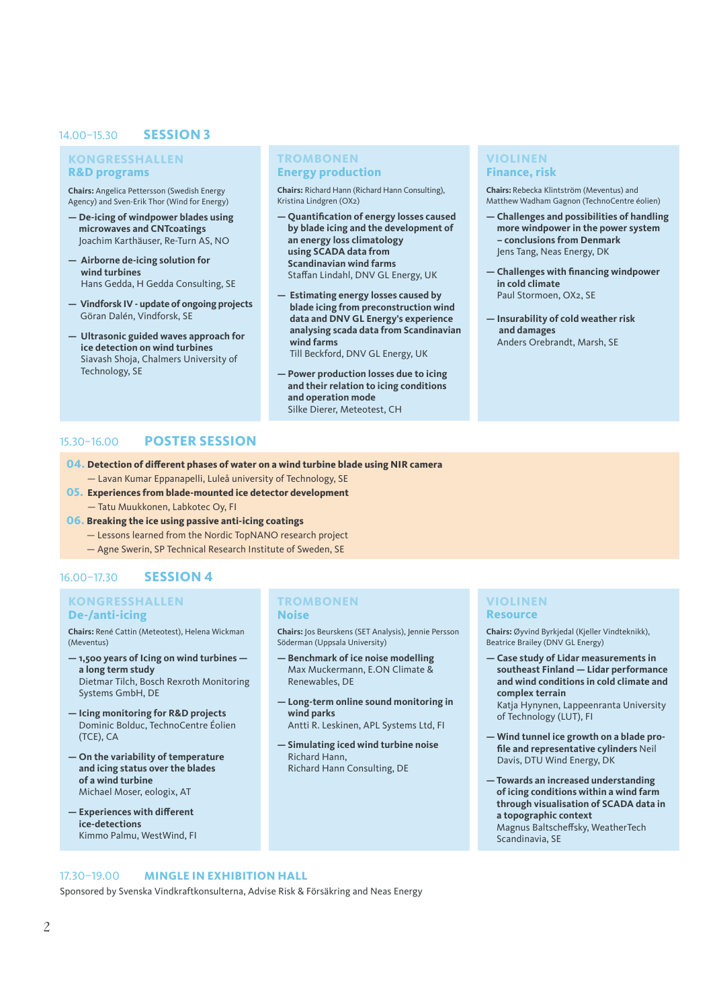### 14.00–15.30 **SESSION 3**

### **KONGRESSHALLEN R&D programs**

**Chairs:** Angelica Pettersson (Swedish Energy Agency) and Sven-Erik Thor (Wind for Energy)

- **De-icing of windpower blades using microwaves and CNTcoatings** Joachim Karthäuser, Re-Turn AS, NO
- **Airborne de-icing solution for wind turbines** Hans Gedda, H Gedda Consulting, SE
- **Vindforsk IV update of ongoing projects** Göran Dalén, Vindforsk, SE
- **Ultrasonic guided waves approach for ice detection on wind turbines** Siavash Shoja, Chalmers University of Technology, SE

#### **TROMBONEN Energy production**

**Chairs:** Richard Hann (Richard Hann Consulting), Kristina Lindgren (OX2)

- **Quantification of energy losses caused by blade icing and the development of an energy loss climatology using SCADA data from Scandinavian wind farms** Staffan Lindahl, DNV GL Energy, UK
- **Estimating energy losses caused by blade icing from preconstruction wind data and DNV GL Energy's experience analysing scada data from Scandinavian wind farms**  Till Beckford, DNV GL Energy, UK
- **Power production losses due to icing and their relation to icing conditions and operation mode**  Silke Dierer, Meteotest, CH

### **VIOLINEN Finance, risk**

**Chairs:** Rebecka Klintström (Meventus) and Matthew Wadham Gagnon (TechnoCentre éolien)

- **Challenges and possibilities of handling more windpower in the power system – conclusions from Denmark** Jens Tang, Neas Energy, DK
- **Challenges with financing windpower in cold climate** Paul Stormoen, OX2, SE
- **Insurability of cold weather risk and damages** Anders Orebrandt, Marsh, SE

# 15.30–16.00 **POSTER SESSION**

- **04. Detection of different phases of water on a wind turbine blade using NIR camera**  — Lavan Kumar Eppanapelli, Luleå university of Technology, SE
- **05. Experiences from blade-mounted ice detector development**  — Tatu Muukkonen, Labkotec Oy, FI
- **06. Breaking the ice using passive anti-icing coatings** 
	- Lessons learned from the Nordic TopNANO research project
	- Agne Swerin, SP Technical Research Institute of Sweden, SE

## 16.00–17.30 **SESSION 4**

### **KONGRESSHALLEN De-/anti-icing**

**Chairs:** René Cattin (Meteotest), Helena Wickman (Meventus)

- **1,500 years of Icing on wind turbines a long term study** Dietmar Tilch, Bosch Rexroth Monitoring Systems GmbH, DE
- **Icing monitoring for R&D projects** Dominic Bolduc, TechnoCentre Éolien (TCE), CA
- **On the variability of temperature and icing status over the blades of a wind turbine** Michael Moser, eologix, AT
- **Experiences with different ice-detections**  Kimmo Palmu, WestWind, FI

#### **TROMBONEN Noise**

**Chairs:** Jos Beurskens (SET Analysis), Jennie Persson Söderman (Uppsala University)

- **Benchmark of ice noise modelling** Max Muckermann, E.ON Climate & Renewables, DE
- **Long-term online sound monitoring in wind parks**
- Antti R. Leskinen, APL Systems Ltd, FI
- **Simulating iced wind turbine noise** Richard Hann, Richard Hann Consulting, DE

#### **VIOLINEN Resource**

**Chairs:** Øyvind Byrkjedal (Kjeller Vindteknikk), Beatrice Brailey (DNV GL Energy)

**— Case study of Lidar measurements in southeast Finland — Lidar performance and wind conditions in cold climate and complex terrain** Katja Hynynen, Lappeenranta University

of Technology (LUT), FI

- **Wind tunnel ice growth on a blade profile and representative cylinders** Neil Davis, DTU Wind Energy, DK
- **Towards an increased understanding of icing conditions within a wind farm through visualisation of SCADA data in a topographic context** Magnus Baltscheffsky, WeatherTech Scandinavia, SE

### 17.30–19.00 **MINGLE IN EXHIBITION HALL**

Sponsored by Svenska Vindkraftkonsulterna, Advise Risk & Försäkring and Neas Energy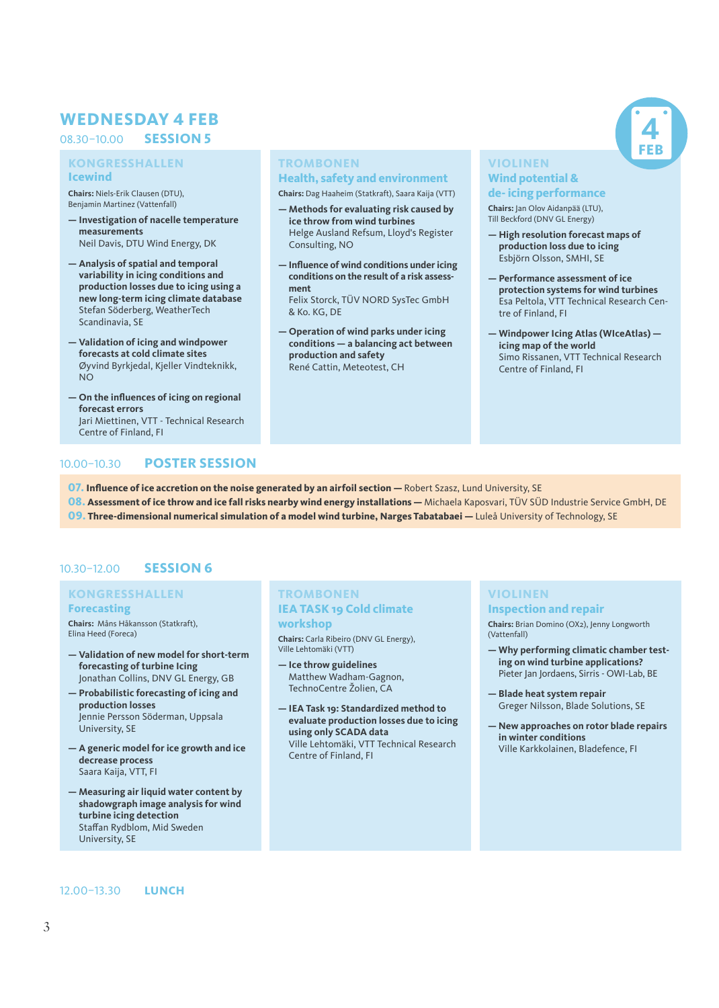# **WEDNESDAY 4 FEB**

### 08.303–10.00 **SESSION 5**

### **KONGRESSHALLEN Icewind**

**Chairs:** Niels-Erik Clausen (DTU), Benjamin Martinez (Vattenfall)

- **Investigation of nacelle temperature measurements** Neil Davis, DTU Wind Energy, DK
- **Analysis of spatial and temporal variability in icing conditions and production losses due to icing using a new long-term icing climate database** Stefan Söderberg, WeatherTech Scandinavia, SE
- **Validation of icing and windpower forecasts at cold climate sites** Øyvind Byrkjedal, Kjeller Vindteknikk, NO
- **On the influences of icing on regional forecast errors** Jari Miettinen, VTT - Technical Research Centre of Finland, FI

# **TROMBONEN**

### **Health, safety and environment**

**Chairs:** Dag Haaheim (Statkraft), Saara Kaija (VTT)

- **Methods for evaluating risk caused by ice throw from wind turbines** Helge Ausland Refsum, Lloyd's Register Consulting, NO
- **Influence of wind conditions under icing conditions on the result of a risk assessment**

Felix Storck, TÜV NORD SysTec GmbH & Ko. KG, DE

**— Operation of wind parks under icing conditions — a balancing act between production and safety** René Cattin, Meteotest, CH

### **VIOLINEN Wind potential &**

#### **de- icing performance**

**Chairs:** Jan Olov Aidanpää (LTU), Till Beckford (DNV GL Energy)

- **High resolution forecast maps of production loss due to icing** Esbjörn Olsson, SMHI, SE
- **Performance assessment of ice protection systems for wind turbines**  Esa Peltola, VTT Technical Research Centre of Finland, FI

**4 FEB**

**— Windpower Icing Atlas (WIceAtlas) icing map of the world** Simo Rissanen, VTT Technical Research Centre of Finland, FI

# 10.00–10.30 **POSTER SESSION**

- **07. Influence of ice accretion on the noise generated by an airfoil section Robert Szasz, Lund University, SE**
- 08. Assessment of ice throw and ice fall risks nearby wind energy installations Michaela Kaposvari, TÜV SÜD Industrie Service GmbH, DE **09. Three-dimensional numerical simulation of a model wind turbine, Narges Tabatabaei —** Luleå University of Technology, SE

# 10.30–12.00 **SESSION 6**

### **KONGRESSHALLEN Forecasting**

**Chairs:** Måns Håkansson (Statkraft), Elina Heed (Foreca)

- **Validation of new model for short-term forecasting of turbine Icing** Jonathan Collins, DNV GL Energy, GB
- **Probabilistic forecasting of icing and production losses** Jennie Persson Söderman, Uppsala University, SE
- **A generic model for ice growth and ice decrease process** Saara Kaija, VTT, FI
- **Measuring air liquid water content by shadowgraph image analysis for wind turbine icing detection** Staffan Rydblom, Mid Sweden University, SE

### **TROMBONEN IEA TASK 19 Cold climate workshop**

**Chairs:** Carla Ribeiro (DNV GL Energy), Ville Lehtomäki (VTT)

- **Ice throw guidelines** Matthew Wadham-Gagnon, TechnoCentre Žolien, CA
- **IEA Task 19: Standardized method to evaluate production losses due to icing using only SCADA data** Ville Lehtomäki, VTT Technical Research Centre of Finland, FI

# **VIOLINEN**

**Inspection and repair** 

**Chairs:** Brian Domino (OX2), Jenny Longworth (Vattenfall)

- **Why performing climatic chamber testing on wind turbine applications?**  Pieter Jan Jordaens, Sirris - OWI-Lab, BE
- **Blade heat system repair** Greger Nilsson, Blade Solutions, SE
- **New approaches on rotor blade repairs in winter conditions** Ville Karkkolainen, Bladefence, FI